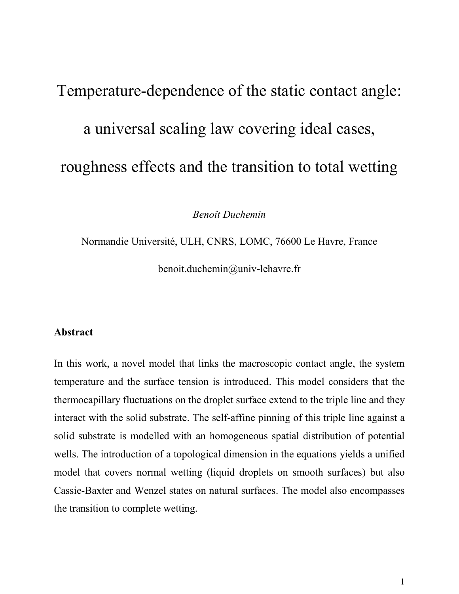# Temperature-dependence of the static contact angle: a universal scaling law covering ideal cases, roughness effects and the transition to total wetting

*Benoît Duchemin*

Normandie Université, ULH, CNRS, LOMC, 76600 Le Havre, France benoit.duchemin@univ-lehavre.fr

## **Abstract**

In this work, a novel model that links the macroscopic contact angle, the system temperature and the surface tension is introduced. This model considers that the thermocapillary fluctuations on the droplet surface extend to the triple line and they interact with the solid substrate. The self-affine pinning of this triple line against a solid substrate is modelled with an homogeneous spatial distribution of potential wells. The introduction of a topological dimension in the equations yields a unified model that covers normal wetting (liquid droplets on smooth surfaces) but also Cassie-Baxter and Wenzel states on natural surfaces. The model also encompasses the transition to complete wetting.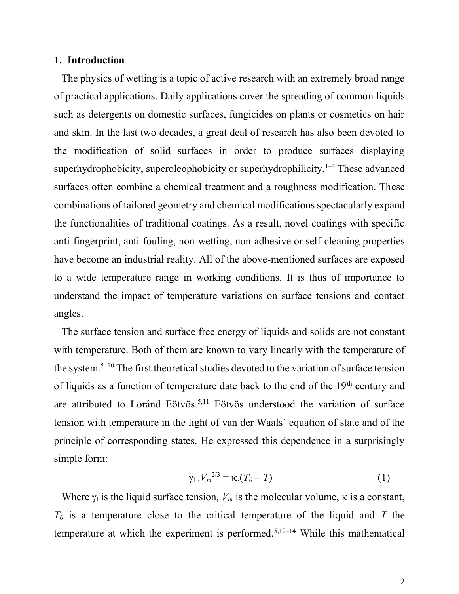#### **1. Introduction**

The physics of wetting is a topic of active research with an extremely broad range of practical applications. Daily applications cover the spreading of common liquids such as detergents on domestic surfaces, fungicides on plants or cosmetics on hair and skin. In the last two decades, a great deal of research has also been devoted to the modification of solid surfaces in order to produce surfaces displaying superhydrophobicity, superoleophobicity or superhydrophilicity.<sup>1-4</sup> These advanced surfaces often combine a chemical treatment and a roughness modification. These combinations of tailored geometry and chemical modifications spectacularly expand the functionalities of traditional coatings. As a result, novel coatings with specific anti-fingerprint, anti-fouling, non-wetting, non-adhesive or self-cleaning properties have become an industrial reality. All of the above-mentioned surfaces are exposed to a wide temperature range in working conditions. It is thus of importance to understand the impact of temperature variations on surface tensions and contact angles.

The surface tension and surface free energy of liquids and solids are not constant with temperature. Both of them are known to vary linearly with the temperature of the system.<sup>5</sup>–<sup>10</sup> The first theoretical studies devoted to the variation of surface tension of liquids as a function of temperature date back to the end of the 19<sup>th</sup> century and are attributed to Loránd Eötvös.5,11 Eötvös understood the variation of surface tension with temperature in the light of van der Waals' equation of state and of the principle of corresponding states. He expressed this dependence in a surprisingly simple form:

$$
\gamma_1 \cdot V_m^{2/3} = \kappa \cdot (T_0 - T) \tag{1}
$$

Where  $\gamma_1$  is the liquid surface tension,  $V_m$  is the molecular volume,  $\kappa$  is a constant, *T<sup>0</sup>* is a temperature close to the critical temperature of the liquid and *T* the temperature at which the experiment is performed.5,12–<sup>14</sup> While this mathematical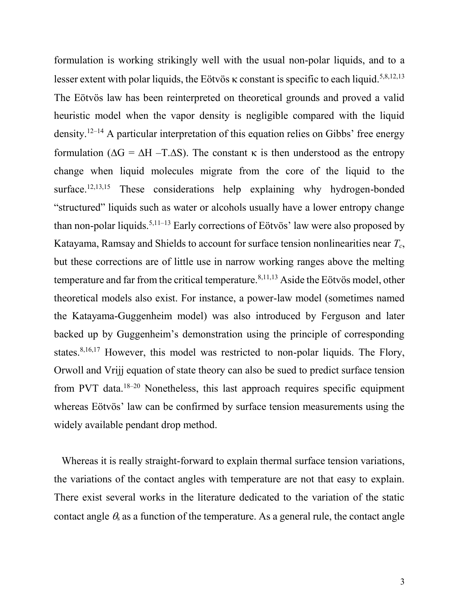formulation is working strikingly well with the usual non-polar liquids, and to a lesser extent with polar liquids, the Eötvös  $\kappa$  constant is specific to each liquid.<sup>5,8,12,13</sup> The Eötvös law has been reinterpreted on theoretical grounds and proved a valid heuristic model when the vapor density is negligible compared with the liquid density.<sup>12–14</sup> A particular interpretation of this equation relies on Gibbs' free energy formulation ( $\Delta G = \Delta H - T \Delta S$ ). The constant  $\kappa$  is then understood as the entropy change when liquid molecules migrate from the core of the liquid to the surface.<sup>12,13,15</sup> These considerations help explaining why hydrogen-bonded "structured" liquids such as water or alcohols usually have a lower entropy change than non-polar liquids.<sup>5,11–13</sup> Early corrections of Eötvös' law were also proposed by Katayama, Ramsay and Shields to account for surface tension nonlinearities near *Tc*, but these corrections are of little use in narrow working ranges above the melting temperature and far from the critical temperature. $8,11,13$  Aside the Eötvös model, other theoretical models also exist. For instance, a power-law model (sometimes named the Katayama-Guggenheim model) was also introduced by Ferguson and later backed up by Guggenheim's demonstration using the principle of corresponding states.<sup>8,16,17</sup> However, this model was restricted to non-polar liquids. The Flory, Orwoll and Vrijj equation of state theory can also be sued to predict surface tension from PVT data.<sup>18–20</sup> Nonetheless, this last approach requires specific equipment whereas Eötvös' law can be confirmed by surface tension measurements using the widely available pendant drop method.

Whereas it is really straight-forward to explain thermal surface tension variations, the variations of the contact angles with temperature are not that easy to explain. There exist several works in the literature dedicated to the variation of the static contact angle  $\theta_s$  as a function of the temperature. As a general rule, the contact angle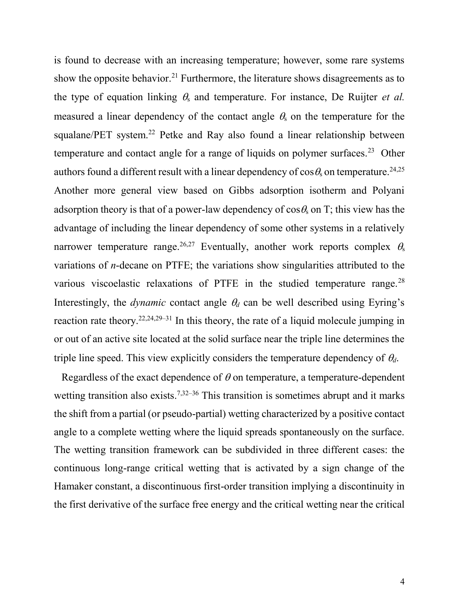is found to decrease with an increasing temperature; however, some rare systems show the opposite behavior.<sup>21</sup> Furthermore, the literature shows disagreements as to the type of equation linking  $\theta_s$  and temperature. For instance, De Ruijter *et al.* measured a linear dependency of the contact angle  $\theta_s$  on the temperature for the squalane/PET system.<sup>22</sup> Petke and Ray also found a linear relationship between temperature and contact angle for a range of liquids on polymer surfaces.<sup>23</sup> Other authors found a different result with a linear dependency of  $\cos \theta$  on temperature.<sup>24,25</sup> Another more general view based on Gibbs adsorption isotherm and Polyani adsorption theory is that of a power-law dependency of  $\cos \theta$  on T; this view has the advantage of including the linear dependency of some other systems in a relatively narrower temperature range.<sup>26,27</sup> Eventually, another work reports complex  $\theta_s$ variations of *n*-decane on PTFE; the variations show singularities attributed to the various viscoelastic relaxations of PTFE in the studied temperature range.<sup>28</sup> Interestingly, the *dynamic* contact angle  $\theta_d$  can be well described using Eyring's reaction rate theory.<sup>22,24,29–31</sup> In this theory, the rate of a liquid molecule jumping in or out of an active site located at the solid surface near the triple line determines the triple line speed. This view explicitly considers the temperature dependency of  $\theta_d$ .

Regardless of the exact dependence of  $\theta$  on temperature, a temperature-dependent wetting transition also exists.<sup> $7,32-36$ </sup> This transition is sometimes abrupt and it marks the shift from a partial (or pseudo-partial) wetting characterized by a positive contact angle to a complete wetting where the liquid spreads spontaneously on the surface. The wetting transition framework can be subdivided in three different cases: the continuous long-range critical wetting that is activated by a sign change of the Hamaker constant, a discontinuous first-order transition implying a discontinuity in the first derivative of the surface free energy and the critical wetting near the critical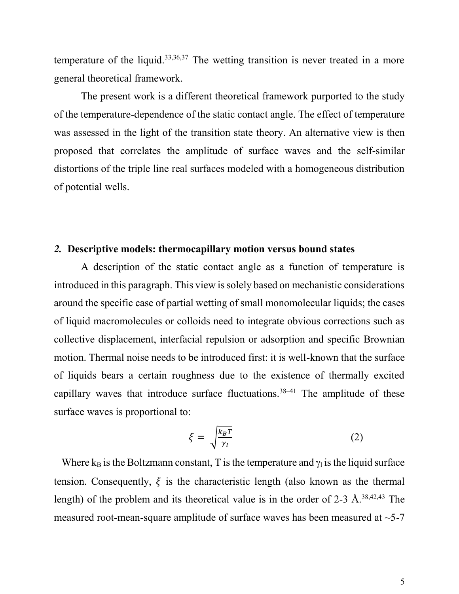temperature of the liquid.<sup>33,36,37</sup> The wetting transition is never treated in a more general theoretical framework.

The present work is a different theoretical framework purported to the study of the temperature-dependence of the static contact angle. The effect of temperature was assessed in the light of the transition state theory. An alternative view is then proposed that correlates the amplitude of surface waves and the self-similar distortions of the triple line real surfaces modeled with a homogeneous distribution of potential wells.

#### *2.* **Descriptive models: thermocapillary motion versus bound states**

A description of the static contact angle as a function of temperature is introduced in this paragraph. This view is solely based on mechanistic considerations around the specific case of partial wetting of small monomolecular liquids; the cases of liquid macromolecules or colloids need to integrate obvious corrections such as collective displacement, interfacial repulsion or adsorption and specific Brownian motion. Thermal noise needs to be introduced first: it is well-known that the surface of liquids bears a certain roughness due to the existence of thermally excited capillary waves that introduce surface fluctuations.<sup>38-41</sup> The amplitude of these surface waves is proportional to:

$$
\xi = \sqrt{\frac{k_B T}{\gamma_l}}\tag{2}
$$

Where  $k_B$  is the Boltzmann constant, T is the temperature and  $\gamma_1$  is the liquid surface tension. Consequently,  $\xi$  is the characteristic length (also known as the thermal length) of the problem and its theoretical value is in the order of 2-3 Å.<sup>38,42,43</sup> The measured root-mean-square amplitude of surface waves has been measured at ~5-7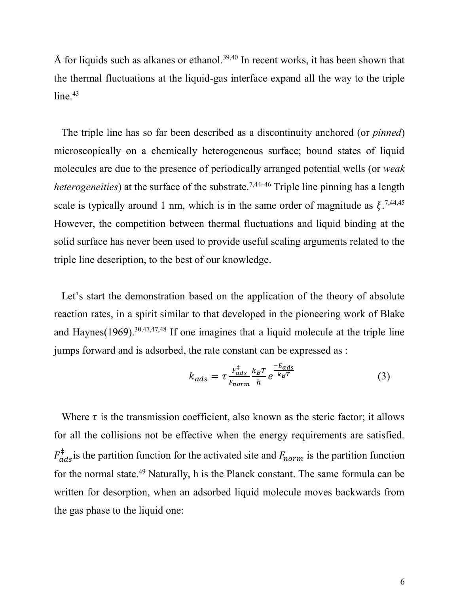Å for liquids such as alkanes or ethanol.<sup>39,40</sup> In recent works, it has been shown that the thermal fluctuations at the liquid-gas interface expand all the way to the triple  $line<sup>43</sup>$ 

The triple line has so far been described as a discontinuity anchored (or *pinned*) microscopically on a chemically heterogeneous surface; bound states of liquid molecules are due to the presence of periodically arranged potential wells (or *weak heterogeneities*) at the surface of the substrate.<sup>7,44–46</sup> Triple line pinning has a length scale is typically around 1 nm, which is in the same order of magnitude as  $\xi$ .<sup>7,44,45</sup> However, the competition between thermal fluctuations and liquid binding at the solid surface has never been used to provide useful scaling arguments related to the triple line description, to the best of our knowledge.

Let's start the demonstration based on the application of the theory of absolute reaction rates, in a spirit similar to that developed in the pioneering work of Blake and Haynes $(1969)$ .  $30,47,47,48$  If one imagines that a liquid molecule at the triple line jumps forward and is adsorbed, the rate constant can be expressed as :

$$
k_{ads} = \tau \frac{F_{ads}^{\ddagger}}{F_{norm}} \frac{k_B T}{h} e^{\frac{-E_{ads}}{k_B T}}
$$
(3)

Where  $\tau$  is the transmission coefficient, also known as the steric factor; it allows for all the collisions not be effective when the energy requirements are satisfied.  $F_{ads}^{\ddagger}$  is the partition function for the activated site and  $F_{norm}$  is the partition function for the normal state.<sup>49</sup> Naturally, h is the Planck constant. The same formula can be written for desorption, when an adsorbed liquid molecule moves backwards from the gas phase to the liquid one: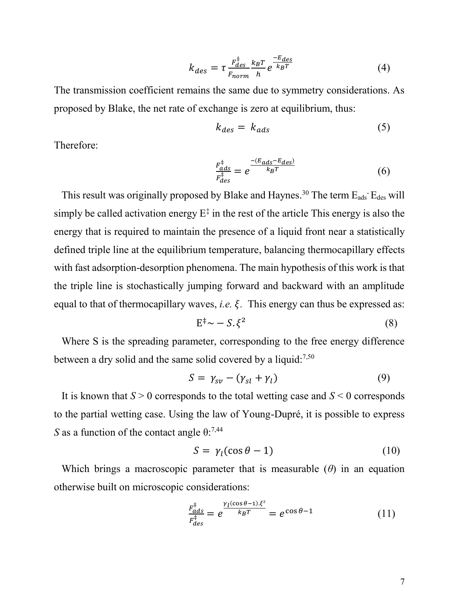$$
k_{des} = \tau \frac{F_{des}^{\ddagger}}{F_{norm}} \frac{k_B T}{h} e^{\frac{-E_{des}}{k_B T}}
$$
(4)

The transmission coefficient remains the same due to symmetry considerations. As proposed by Blake, the net rate of exchange is zero at equilibrium, thus:

$$
k_{des} = k_{ads} \tag{5}
$$

Therefore:

$$
\frac{F_{ads}^{\ddagger}}{F_{des}^{\ddagger}} = e^{\frac{-(E_{ads} - E_{des})}{k_B T}}
$$
(6)

This result was originally proposed by Blake and Haynes.<sup>30</sup> The term  $E_{ads}$   $E_{des}$  will simply be called activation energy  $E^{\ddagger}$  in the rest of the article This energy is also the energy that is required to maintain the presence of a liquid front near a statistically defined triple line at the equilibrium temperature, balancing thermocapillary effects with fast adsorption-desorption phenomena. The main hypothesis of this work is that the triple line is stochastically jumping forward and backward with an amplitude equal to that of thermocapillary waves, *i.e.*  $\xi$ . This energy can thus be expressed as:

$$
E^{\ddagger} \sim -S. \xi^2 \tag{8}
$$

Where S is the spreading parameter, corresponding to the free energy difference between a dry solid and the same solid covered by a liquid:7,50

$$
S = \gamma_{sv} - (\gamma_{sl} + \gamma_l) \tag{9}
$$

It is known that *S* > 0 corresponds to the total wetting case and *S* < 0 corresponds to the partial wetting case. Using the law of Young-Dupré, it is possible to express *S* as a function of the contact angle  $\theta$ :<sup>7,44</sup>

$$
S = \gamma_l(\cos\theta - 1) \tag{10}
$$

Which brings a macroscopic parameter that is measurable (*θ*) in an equation otherwise built on microscopic considerations:

$$
\frac{F_{ads}^{\ddagger}}{F_{des}^{\ddagger}} = e^{\frac{\gamma_l(\cos\theta - 1)\cdot\xi^2}{k_BT}} = e^{\cos\theta - 1}
$$
 (11)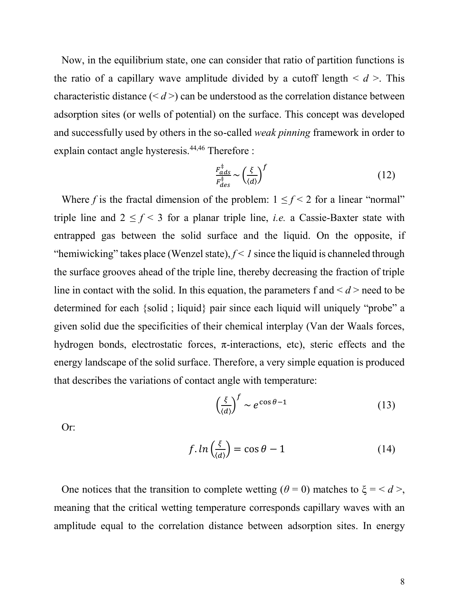Now, in the equilibrium state, one can consider that ratio of partition functions is the ratio of a capillary wave amplitude divided by a cutoff length  $\le d$  >. This characteristic distance  $(*d*)$  can be understood as the correlation distance between adsorption sites (or wells of potential) on the surface. This concept was developed and successfully used by others in the so-called *weak pinning* framework in order to explain contact angle hysteresis.<sup>44,46</sup> Therefore :

$$
\frac{F_{ads}^{\ddagger}}{F_{des}^{\ddagger}} \sim \left(\frac{\xi}{\langle d \rangle}\right)^f \tag{12}
$$

Where *f* is the fractal dimension of the problem:  $1 \le f < 2$  for a linear "normal" triple line and  $2 \le f < 3$  for a planar triple line, *i.e.* a Cassie-Baxter state with entrapped gas between the solid surface and the liquid. On the opposite, if "hemiwicking" takes place (Wenzel state),  $f < I$  since the liquid is channeled through the surface grooves ahead of the triple line, thereby decreasing the fraction of triple line in contact with the solid. In this equation, the parameters f and  $\le d$  > need to be determined for each {solid ; liquid} pair since each liquid will uniquely "probe" a given solid due the specificities of their chemical interplay (Van der Waals forces, hydrogen bonds, electrostatic forces,  $\pi$ -interactions, etc), steric effects and the energy landscape of the solid surface. Therefore, a very simple equation is produced that describes the variations of contact angle with temperature:

$$
\left(\frac{\xi}{\langle d \rangle}\right)^f \sim e^{\cos \theta - 1} \tag{13}
$$

Or:

$$
f. \ln\left(\frac{\xi}{\langle d \rangle}\right) = \cos\theta - 1 \tag{14}
$$

One notices that the transition to complete wetting ( $\theta = 0$ ) matches to  $\xi = \langle d \rangle$ , meaning that the critical wetting temperature corresponds capillary waves with an amplitude equal to the correlation distance between adsorption sites. In energy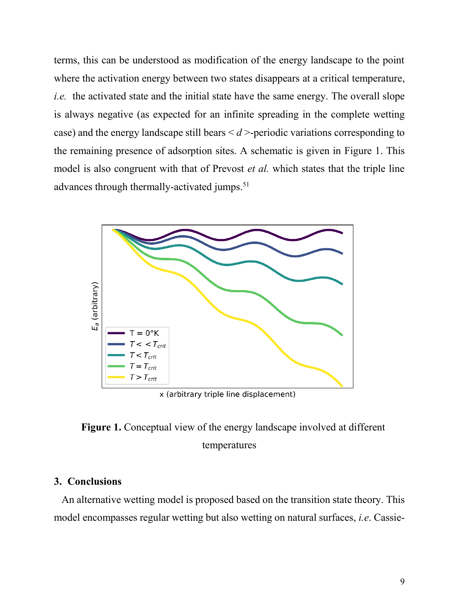terms, this can be understood as modification of the energy landscape to the point where the activation energy between two states disappears at a critical temperature, *i.e.* the activated state and the initial state have the same energy. The overall slope is always negative (as expected for an infinite spreading in the complete wetting case) and the energy landscape still bears  $\le d$  >-periodic variations corresponding to the remaining presence of adsorption sites. A schematic is given in Figure 1. This model is also congruent with that of Prevost *et al.* which states that the triple line advances through thermally-activated jumps.<sup>51</sup>



x (arbitrary triple line displacement)

**Figure 1.** Conceptual view of the energy landscape involved at different temperatures

## **3. Conclusions**

An alternative wetting model is proposed based on the transition state theory. This model encompasses regular wetting but also wetting on natural surfaces, *i.e*. Cassie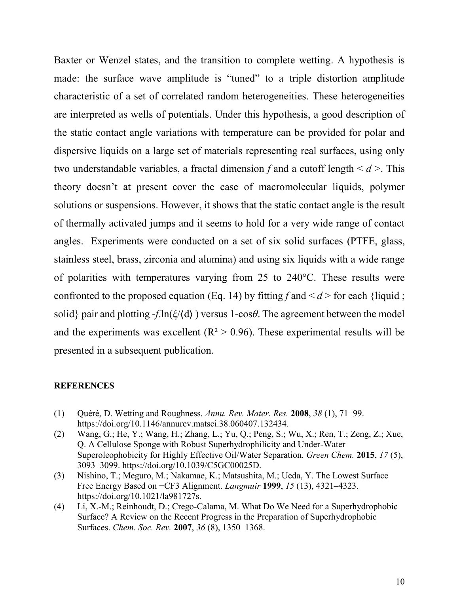Baxter or Wenzel states, and the transition to complete wetting. A hypothesis is made: the surface wave amplitude is "tuned" to a triple distortion amplitude characteristic of a set of correlated random heterogeneities. These heterogeneities are interpreted as wells of potentials. Under this hypothesis, a good description of the static contact angle variations with temperature can be provided for polar and dispersive liquids on a large set of materials representing real surfaces, using only two understandable variables, a fractal dimension *f* and a cutoff length < *d* >. This theory doesn't at present cover the case of macromolecular liquids, polymer solutions or suspensions. However, it shows that the static contact angle is the result of thermally activated jumps and it seems to hold for a very wide range of contact angles. Experiments were conducted on a set of six solid surfaces (PTFE, glass, stainless steel, brass, zirconia and alumina) and using six liquids with a wide range of polarities with temperatures varying from 25 to 240°C. These results were confronted to the proposed equation (Eq. 14) by fitting  $f$  and  $\le d$  > for each {liquid ; solid} pair and plotting  $-f \cdot \ln(\xi/(d))$  versus 1-cos $\theta$ . The agreement between the model and the experiments was excellent ( $R^2 > 0.96$ ). These experimental results will be presented in a subsequent publication.

#### **REFERENCES**

- (1) Quéré, D. Wetting and Roughness. *Annu. Rev. Mater. Res.* **2008**, *38* (1), 71–99. https://doi.org/10.1146/annurev.matsci.38.060407.132434.
- (2) Wang, G.; He, Y.; Wang, H.; Zhang, L.; Yu, Q.; Peng, S.; Wu, X.; Ren, T.; Zeng, Z.; Xue, Q. A Cellulose Sponge with Robust Superhydrophilicity and Under-Water Superoleophobicity for Highly Effective Oil/Water Separation. *Green Chem.* **2015**, *17* (5), 3093–3099. https://doi.org/10.1039/C5GC00025D.
- (3) Nishino, T.; Meguro, M.; Nakamae, K.; Matsushita, M.; Ueda, Y. The Lowest Surface Free Energy Based on −CF3 Alignment. *Langmuir* **1999**, *15* (13), 4321–4323. https://doi.org/10.1021/la981727s.
- (4) Li, X.-M.; Reinhoudt, D.; Crego-Calama, M. What Do We Need for a Superhydrophobic Surface? A Review on the Recent Progress in the Preparation of Superhydrophobic Surfaces. *Chem. Soc. Rev.* **2007**, *36* (8), 1350–1368.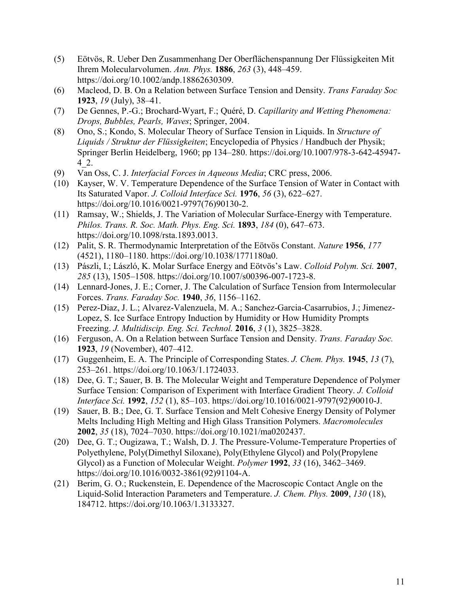- (5) Eötvös, R. Ueber Den Zusammenhang Der Oberflächenspannung Der Flüssigkeiten Mit Ihrem Molecularvolumen. *Ann. Phys.* **1886**, *263* (3), 448–459. https://doi.org/10.1002/andp.18862630309.
- (6) Macleod, D. B. On a Relation between Surface Tension and Density. *Trans Faraday Soc* **1923**, *19* (July), 38–41.
- (7) De Gennes, P.-G.; Brochard-Wyart, F.; Quéré, D. *Capillarity and Wetting Phenomena: Drops, Bubbles, Pearls, Waves*; Springer, 2004.
- (8) Ono, S.; Kondo, S. Molecular Theory of Surface Tension in Liquids. In *Structure of Liquids / Struktur der Flüssigkeiten*; Encyclopedia of Physics / Handbuch der Physik; Springer Berlin Heidelberg, 1960; pp 134–280. https://doi.org/10.1007/978-3-642-45947- 4\_2.
- (9) Van Oss, C. J. *Interfacial Forces in Aqueous Media*; CRC press, 2006.
- (10) Kayser, W. V. Temperature Dependence of the Surface Tension of Water in Contact with Its Saturated Vapor. *J. Colloid Interface Sci.* **1976**, *56* (3), 622–627. https://doi.org/10.1016/0021-9797(76)90130-2.
- (11) Ramsay, W.; Shields, J. The Variation of Molecular Surface-Energy with Temperature. *Philos. Trans. R. Soc. Math. Phys. Eng. Sci.* **1893**, *184* (0), 647–673. https://doi.org/10.1098/rsta.1893.0013.
- (12) Palit, S. R. Thermodynamic Interpretation of the Eötvös Constant. *Nature* **1956**, *177* (4521), 1180–1180. https://doi.org/10.1038/1771180a0.
- (13) Pászli, I.; László, K. Molar Surface Energy and Eötvös's Law. *Colloid Polym. Sci.* **2007**, *285* (13), 1505–1508. https://doi.org/10.1007/s00396-007-1723-8.
- (14) Lennard-Jones, J. E.; Corner, J. The Calculation of Surface Tension from Intermolecular Forces. *Trans. Faraday Soc.* **1940**, *36*, 1156–1162.
- (15) Perez-Diaz, J. L.; Alvarez-Valenzuela, M. A.; Sanchez-Garcia-Casarrubios, J.; Jimenez-Lopez, S. Ice Surface Entropy Induction by Humidity or How Humidity Prompts Freezing. *J. Multidiscip. Eng. Sci. Technol.* **2016**, *3* (1), 3825–3828.
- (16) Ferguson, A. On a Relation between Surface Tension and Density. *Trans. Faraday Soc.* **1923**, *19* (November), 407–412.
- (17) Guggenheim, E. A. The Principle of Corresponding States. *J. Chem. Phys.* **1945**, *13* (7), 253–261. https://doi.org/10.1063/1.1724033.
- (18) Dee, G. T.; Sauer, B. B. The Molecular Weight and Temperature Dependence of Polymer Surface Tension: Comparison of Experiment with Interface Gradient Theory. *J. Colloid Interface Sci.* **1992**, *152* (1), 85–103. https://doi.org/10.1016/0021-9797(92)90010-J.
- (19) Sauer, B. B.; Dee, G. T. Surface Tension and Melt Cohesive Energy Density of Polymer Melts Including High Melting and High Glass Transition Polymers. *Macromolecules* **2002**, *35* (18), 7024–7030. https://doi.org/10.1021/ma0202437.
- (20) Dee, G. T.; Ougizawa, T.; Walsh, D. J. The Pressure-Volume-Temperature Properties of Polyethylene, Poly(Dimethyl Siloxane), Poly(Ethylene Glycol) and Poly(Propylene Glycol) as a Function of Molecular Weight. *Polymer* **1992**, *33* (16), 3462–3469. https://doi.org/10.1016/0032-3861(92)91104-A.
- (21) Berim, G. O.; Ruckenstein, E. Dependence of the Macroscopic Contact Angle on the Liquid-Solid Interaction Parameters and Temperature. *J. Chem. Phys.* **2009**, *130* (18), 184712. https://doi.org/10.1063/1.3133327.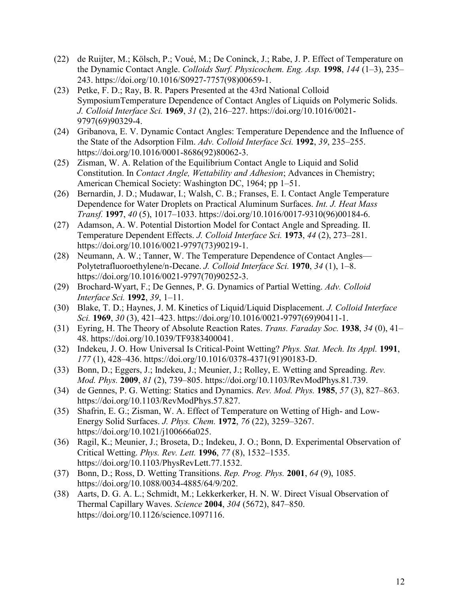- (22) de Ruijter, M.; Kölsch, P.; Voué, M.; De Coninck, J.; Rabe, J. P. Effect of Temperature on the Dynamic Contact Angle. *Colloids Surf. Physicochem. Eng. Asp.* **1998**, *144* (1–3), 235– 243. https://doi.org/10.1016/S0927-7757(98)00659-1.
- (23) Petke, F. D.; Ray, B. R. Papers Presented at the 43rd National Colloid SymposiumTemperature Dependence of Contact Angles of Liquids on Polymeric Solids. *J. Colloid Interface Sci.* **1969**, *31* (2), 216–227. https://doi.org/10.1016/0021- 9797(69)90329-4.
- (24) Gribanova, E. V. Dynamic Contact Angles: Temperature Dependence and the Influence of the State of the Adsorption Film. *Adv. Colloid Interface Sci.* **1992**, *39*, 235–255. https://doi.org/10.1016/0001-8686(92)80062-3.
- (25) Zisman, W. A. Relation of the Equilibrium Contact Angle to Liquid and Solid Constitution. In *Contact Angle, Wettability and Adhesion*; Advances in Chemistry; American Chemical Society: Washington DC, 1964; pp 1–51.
- (26) Bernardin, J. D.; Mudawar, I.; Walsh, C. B.; Franses, E. I. Contact Angle Temperature Dependence for Water Droplets on Practical Aluminum Surfaces. *Int. J. Heat Mass Transf.* **1997**, *40* (5), 1017–1033. https://doi.org/10.1016/0017-9310(96)00184-6.
- (27) Adamson, A. W. Potential Distortion Model for Contact Angle and Spreading. II. Temperature Dependent Effects. *J. Colloid Interface Sci.* **1973**, *44* (2), 273–281. https://doi.org/10.1016/0021-9797(73)90219-1.
- (28) Neumann, A. W.; Tanner, W. The Temperature Dependence of Contact Angles— Polytetrafluoroethylene/n-Decane. *J. Colloid Interface Sci.* **1970**, *34* (1), 1–8. https://doi.org/10.1016/0021-9797(70)90252-3.
- (29) Brochard-Wyart, F.; De Gennes, P. G. Dynamics of Partial Wetting. *Adv. Colloid Interface Sci.* **1992**, *39*, 1–11.
- (30) Blake, T. D.; Haynes, J. M. Kinetics of Liquid/Liquid Displacement. *J. Colloid Interface Sci.* **1969**, *30* (3), 421–423. https://doi.org/10.1016/0021-9797(69)90411-1.
- (31) Eyring, H. The Theory of Absolute Reaction Rates. *Trans. Faraday Soc.* **1938**, *34* (0), 41– 48. https://doi.org/10.1039/TF9383400041.
- (32) Indekeu, J. O. How Universal Is Critical-Point Wetting? *Phys. Stat. Mech. Its Appl.* **1991**, *177* (1), 428–436. https://doi.org/10.1016/0378-4371(91)90183-D.
- (33) Bonn, D.; Eggers, J.; Indekeu, J.; Meunier, J.; Rolley, E. Wetting and Spreading. *Rev. Mod. Phys.* **2009**, *81* (2), 739–805. https://doi.org/10.1103/RevModPhys.81.739.
- (34) de Gennes, P. G. Wetting: Statics and Dynamics. *Rev. Mod. Phys.* **1985**, *57* (3), 827–863. https://doi.org/10.1103/RevModPhys.57.827.
- (35) Shafrin, E. G.; Zisman, W. A. Effect of Temperature on Wetting of High- and Low-Energy Solid Surfaces. *J. Phys. Chem.* **1972**, *76* (22), 3259–3267. https://doi.org/10.1021/j100666a025.
- (36) Ragil, K.; Meunier, J.; Broseta, D.; Indekeu, J. O.; Bonn, D. Experimental Observation of Critical Wetting. *Phys. Rev. Lett.* **1996**, *77* (8), 1532–1535. https://doi.org/10.1103/PhysRevLett.77.1532.
- (37) Bonn, D.; Ross, D. Wetting Transitions. *Rep. Prog. Phys.* **2001**, *64* (9), 1085. https://doi.org/10.1088/0034-4885/64/9/202.
- (38) Aarts, D. G. A. L.; Schmidt, M.; Lekkerkerker, H. N. W. Direct Visual Observation of Thermal Capillary Waves. *Science* **2004**, *304* (5672), 847–850. https://doi.org/10.1126/science.1097116.